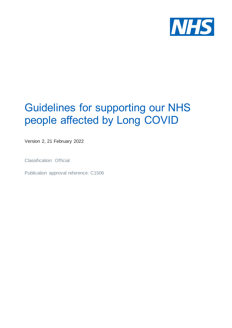

# Guidelines for supporting our NHS people affected by Long COVID

Version 2, 21 February 2022

Classification: Official

Publication approval reference: C1506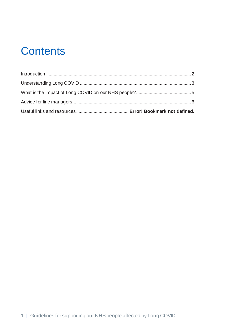# **Contents**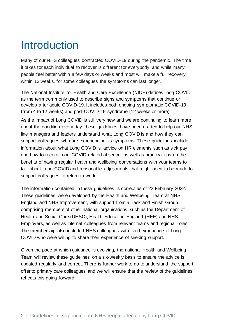### **Introduction**

Many of our NHS colleagues contracted COVID-19 during the pandemic. The time it takes for each individual to recover is different for everybody, and while many people feel better within a few days or weeks and most will make a full recovery within 12 weeks, for some colleagues the symptoms can last longer.

The National Institute for Health and Care Excellence (NICE) defines 'long COVID' as the term commonly used to describe signs and symptoms that continue or develop after acute COVID-19. It includes both ongoing symptomatic COVID-19 (from 4 to 12 weeks) and post‑COVID‑19 syndrome (12 weeks or more).

As the impact of Long COVID is still very new and we are continuing to learn more about the condition every day, these guidelines have been drafted to help our NHS line managers and leaders understand what Long COVID is and how they can support colleagues who are experiencing its symptoms. These guidelines include information about what Long COVID is, advice on HR elements such as sick pay and how to record Long COVID-related absence, as well as practical tips on the benefits of having regular health and wellbeing conversations with your teams to talk about Long COVID and reasonable adjustments that might need to be made to support colleagues to return to work.

The information contained in these guidelines is correct as of 22 February 2022. These guidelines were developed by the Health and Wellbeing Team at NHS England and NHS Improvement, with support from a Task and Finish Group comprising members of other national organisations such as the Department of Health and Social Care (DHSC), Health Education England (HEE) and NHS Employers, as well as internal colleagues from relevant teams and regional roles. The membership also included NHS colleagues with lived experience of Long COVID who were willing to share their experience of seeking support.

Given the pace at which guidance is evolving, the national Health and Wellbeing Team will review these guidelines on a six-weekly basis to ensure the advice is updated regularly and correct. There is further work to do to understand the support offer to primary care colleagues and we will ensure that the review of the guidelines reflects this going forward.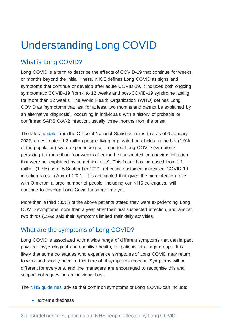# Understanding Long COVID

### What is Long COVID?

Long COVID is a term to describe the effects of COVID-19 that continue for weeks or months beyond the initial illness. NICE defines Long COVID as signs and symptoms that continue or develop after acute COVID-19. It includes both ongoing symptomatic COVID-19 from 4 to 12 weeks and post-COVID-19 syndrome lasting for more than 12 weeks. The World Health Organization (WHO) defines Long COVID as "symptoms that last for at least two months and cannot be explained by an alternative diagnosis", occurring in individuals with a history of probable or confirmed SARS CoV-2 infection, usually three months from the onset.

The latest [update](https://www.ons.gov.uk/peoplepopulationandcommunity/healthandsocialcare/conditionsanddiseases/bulletins/prevalenceofongoingsymptomsfollowingcoronaviruscovid19infectionintheuk/6january2022) from the Office of National Statistics notes that as of 6 January 2022, an estimated 1.3 million people living in private households in the UK (1.9% of the population) were experiencing self-reported Long COVID (symptoms persisting for more than four weeks after the first suspected coronavirus infection that were not explained by something else). This figure has increased from 1.1 million (1.7%) as of 5 September 2021, reflecting sustained increased COVID-19 infection rates in August 2021. It is anticipated that given the high infection rates with Omicron, a large number of people, including our NHS colleagues, will continue to develop Long Covid for some time yet.

More than a third (35%) of the above patients stated they were experiencing Long COVID symptoms more than a year after their first suspected infection, and almost two thirds (65%) said their symptoms limited their daily activities.

#### What are the symptoms of Long COVID?

Long COVID is associated with a wide range of different symptoms that can impact physical, psychological and cognitive health, for patients of all age groups. It is likely that some colleagues who experience symptoms of Long COVID may return to work and shortly need further time off if symptoms reoccur. Symptoms will be different for everyone, and line managers are encouraged to recognise this and support colleagues on an individual basis.

The NHS [guidelines](https://www.nhs.uk/conditions/coronavirus-covid-19/long-term-effects-of-coronavirus-long-covid/) advise that common symptoms of Long COVID can include:

• extreme tiredness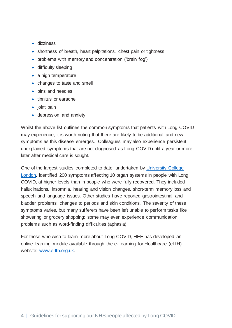- dizziness
- shortness of breath, heart palpitations, chest pain or tightness
- problems with memory and concentration ('brain fog')
- difficulty sleeping
- a high temperature
- changes to taste and smell
- pins and needles
- tinnitus or earache
- joint pain
- depression and anxiety

Whilst the above list outlines the common symptoms that patients with Long COVID may experience, it is worth noting that there are likely to be additional and new symptoms as this disease emerges. Colleagues may also experience persistent, unexplained symptoms that are not diagnosed as Long COVID until a year or more later after medical care is sought.

One of the largest studies completed to date, undertaken by [University](https://www.ucl.ac.uk/news/2021/jul/identification-over-200-long-covid-symptoms-prompts-call-uk-screening-programme) College [London,](https://www.ucl.ac.uk/news/2021/jul/identification-over-200-long-covid-symptoms-prompts-call-uk-screening-programme) identified 200 symptoms affecting 10 organ systems in people with Long COVID, at higher levels than in people who were fully recovered. They included hallucinations, insomnia, hearing and vision changes, short-term memory loss and speech and language issues. Other studies have reported gastrointestinal and bladder problems, changes to periods and skin conditions. The severity of these symptoms varies, but many sufferers have been left unable to perform tasks like showering or grocery shopping; some may even experience communication problems such as word-finding difficulties (aphasia).

For those who wish to learn more about Long COVID, HEE has developed an online learning module available through the e-Learning for Healthcare (eLfH) website: [www.e-lfh.org.uk.](http://www.e-lfh.org.uk/)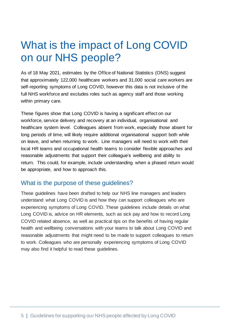## What is the impact of Long COVID on our NHS people?

As of 18 May 2021, estimates by the Office of National Statistics (ONS) suggest that approximately 122,000 healthcare workers and 31,000 social care workers are self-reporting symptoms of Long COVID, however this data is not inclusive of the full NHS workforce and excludes roles such as agency staff and those working within primary care.

These figures show that Long COVID is having a significant effect on our workforce, service delivery and recovery at an individual, organisational and healthcare system level. Colleagues absent from work, especially those absent for long periods of time, will likely require additional organisational support both while on leave, and when returning to work. Line managers will need to work with their local HR teams and occupational health teams to consider flexible approaches and reasonable adjustments that support their colleague's wellbeing and ability to return. This could, for example, include understanding when a phased return would be appropriate, and how to approach this.

#### What is the purpose of these guidelines?

These guidelines have been drafted to help our NHS line managers and leaders understand what Long COVID is and how they can support colleagues who are experiencing symptoms of Long COVID. These guidelines include details on what Long COVID is, advice on HR elements, such as sick pay and how to record Long COVID related absence, as well as practical tips on the benefits of having regular health and wellbeing conversations with your teams to talk about Long COVID and reasonable adjustments that might need to be made to support colleagues to return to work. Colleagues who are personally experiencing symptoms of Long COVID may also find it helpful to read these guidelines.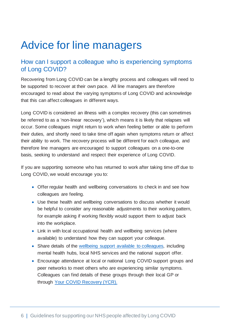## Advice for line managers

#### How can I support a colleague who is experiencing symptoms of Long COVID?

Recovering from Long COVID can be a lengthy process and colleagues will need to be supported to recover at their own pace. All line managers are therefore encouraged to read about the varying symptoms of Long COVID and acknowledge that this can affect colleagues in different ways.

Long COVID is considered an illness with a complex recovery (this can sometimes be referred to as a 'non-linear recovery'), which means it is likely that relapses will occur. Some colleagues might return to work when feeling better or able to perform their duties, and shortly need to take time off again when symptoms return or affect their ability to work. The recovery process will be different for each colleague, and therefore line managers are encouraged to support colleagues on a one-to-one basis, seeking to understand and respect their experience of Long COVID.

If you are supporting someone who has returned to work after taking time off due to Long COVID, we would encourage you to:

- Offer regular health and wellbeing conversations to check in and see how colleagues are feeling.
- Use these health and wellbeing conversations to discuss whether it would be helpful to consider any reasonable adjustments to their working pattern, for example asking if working flexibly would support them to adjust back into the workplace.
- Link in with local occupational health and wellbeing services (where available) to understand how they can support your colleague.
- Share details of the wellbeing support available to [colleagues,](https://www.england.nhs.uk/supporting-our-nhs-people/support-now/staff-mental-health-and-wellbeing-hubs/) including mental health hubs, local NHS services and the national support offer.
- Encourage attendance at local or national Long COVID support groups and peer networks to meet others who are experiencing similar symptoms. Colleagues can find details of these groups through their local GP or through Your COVID [Recovery](https://www.yourcovidrecovery.nhs.uk/) (YCR).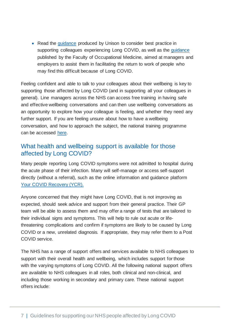• Read the quidance produced by Unison to consider best practice in supporting colleagues experiencing Long COVID, as well as the [guidance](https://www.fom.ac.uk/covid-19/guidance-for-managers-and-employers-on-facilitating-return-to-work-of-employees-with-long-covid) published by the Faculty of Occupational Medicine, aimed at managers and employers to assist them in facilitating the return to work of people who may find this difficult because of Long COVID.

Feeling confident and able to talk to your colleagues about their wellbeing is key to supporting those affected by Long COVID (and in supporting all your colleagues in general). Line managers across the NHS can access free training in having safe and effective wellbeing conversations and can then use wellbeing conversations as an opportunity to explore how your colleague is feeling, and whether they need any further support. If you are feeling unsure about how to have a wellbeing conversation, and how to approach the subject, the national training programme can be accessed [here.](https://www.england.nhs.uk/supporting-our-nhs-people/support-now/having-safe-and-effective-wellbeing-conversations/)

#### What health and wellbeing support is available for those affected by Long COVID?

Many people reporting Long COVID symptoms were not admitted to hospital during the acute phase of their infection. Many will self-manage or access self-support directly (without a referral), such as the online information and guidance platform Your COVID [Recovery](https://www.yourcovidrecovery.nhs.uk/) (YCR).

Anyone concerned that they might have Long COVID, that is not improving as expected, should seek advice and support from their general practice. Their GP team will be able to assess them and may offer a range of tests that are tailored to their individual signs and symptoms. This will help to rule out acute or lifethreatening complications and confirm if symptoms are likely to be caused by Long COVID or a new, unrelated diagnosis. If appropriate, they may refer them to a Post COVID service.

The NHS has a range of support offers and services available to NHS colleagues to support with their overall health and wellbeing, which includes support for those with the varying symptoms of Long COVID. All the following national support offers are available to NHS colleagues in all roles, both clinical and non-clinical, and including those working in secondary and primary care. These national support offers include: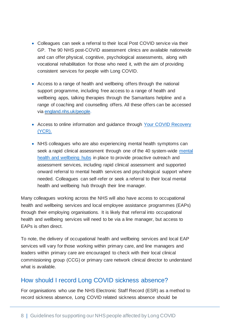- Colleagues can seek a referral to their local Post COVID service via their GP. The 90 NHS post-COVID assessment clinics are available nationwide and can offer physical, cognitive, psychological assessments, along with vocational rehabilitation for those who need it, with the aim of providing consistent services for people with Long COVID.
- Access to a range of health and wellbeing offers through the national support programme, including free access to a range of health and wellbeing apps, talking therapies through the Samaritans helpline and a range of coaching and counselling offers. All these offers can be accessed via [england.nhs.uk/people.](http://www.england.nhs.uk/people)
- Access to online information and guidance through Your COVID [Recovery](https://www.yourcovidrecovery.nhs.uk/) [\(YCR\).](https://www.yourcovidrecovery.nhs.uk/)
- NHS colleagues who are also experiencing mental health symptoms can seek a rapid clinical assessment through one of the 40 system-wide [mental](https://www.england.nhs.uk/supporting-our-nhs-people/support-now/staff-mental-health-and-wellbeing-hubs/) health and [wellbeing](https://www.england.nhs.uk/supporting-our-nhs-people/support-now/staff-mental-health-and-wellbeing-hubs/) hubs in place to provide proactive outreach and assessment services, including rapid clinical assessment and supported onward referral to mental health services and psychological support where needed. Colleagues can self-refer or seek a referral to their local mental health and wellbeing hub through their line manager.

Many colleagues working across the NHS will also have access to occupational health and wellbeing services and local employee assistance programmes (EAPs) through their employing organisations. It is likely that referral into occupational health and wellbeing services will need to be via a line manager, but access to EAPs is often direct.

To note, the delivery of occupational health and wellbeing services and local EAP services will vary for those working within primary care, and line managers and leaders within primary care are encouraged to check with their local clinical commissioning group (CCG) or primary care network clinical director to understand what is available.

#### How should I record Long COVID sickness absence?

For organisations who use the NHS Electronic Staff Record (ESR) as a method to record sickness absence, Long COVID related sickness absence should be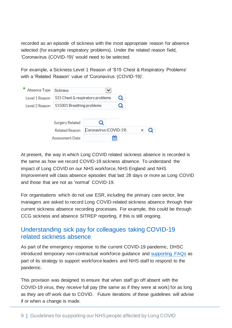recorded as an episode of sickness with the most appropriate reason for absence selected (for example respiratory problems). Under the related reason field, 'Coronavirus (COVID-19)' would need to be selected.

For example, a Sickness Level 1 Reason of 'S15 Chest & Respiratory Problems' with a 'Related Reason' value of 'Coronavirus (COVID-19)'.

| Absence Type   | <b>Sickness</b>                  |                        |   |   |  |  |
|----------------|----------------------------------|------------------------|---|---|--|--|
| Level 1 Reason | S15 Chest & respiratory problems |                        |   | Q |  |  |
| Level 2 Reason | S15001 Breathing problems        |                        |   |   |  |  |
|                |                                  |                        |   |   |  |  |
|                | Surgery Related                  | u                      |   |   |  |  |
|                | Related Reason                   | Coronavirus (COVID-19) |   |   |  |  |
|                | Assessment Date                  |                        | ₩ |   |  |  |

At present, the way in which Long COVID related sickness absence is recorded is the same as how we record COVID-19 sickness absence. To understand the impact of Long COVID on our NHS workforce, NHS England and NHS Improvement will class absence episodes that last 28 days or more as Long COVID and those that are not as 'normal' COVID-19.

For organisations which do not use ESR, including the primary care sector, line managers are asked to record Long COVID-related sickness absence through their current sickness absence recording processes. For example, this could be through CCG sickness and absence SITREP reporting, if this is still ongoing.

#### Understanding sick pay for colleagues taking COVID-19 related sickness absence

As part of the emergency response to the current COVID-19 pandemic, DHSC introduced temporary non-contractual workforce guidance and [supporting](https://www.nhsemployers.org/articles/covid-19-pay-faqs) FAQs as part of its strategy to support workforce leaders and NHS staff to respond to the pandemic.

This provision was designed to ensure that when staff go off absent with the COVID-19 virus, they receive full pay (the same as if they were at work) for as long as they are off work due to COVID. Future iterations of these guidelines will advise if or when a change is made.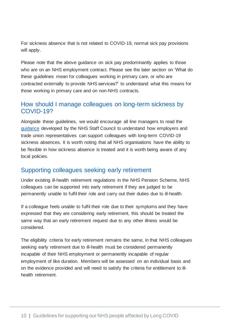For sickness absence that is not related to COVID-19, normal sick pay provisions will apply.

Please note that the above guidance on sick pay predominantly applies to those who are on an NHS employment contract. Please see the later section on 'What do these guidelines mean for colleagues working in primary care, or who are contracted externally to provide NHS services?' to understand what this means for those working in primary care and on non-NHS contracts.

#### How should I manage colleagues on long-term sickness by COVID-19?

Alongside these guidelines, we would encourage all line managers to read the [guidance](https://www.nhsemployers.org/sites/default/files/2021-07/Long-term-covid-absence-guidance.pdf) developed by the NHS Staff Council to understand how employers and trade union representatives can support colleagues with long-term COVID-19 sickness absences. It is worth noting that all NHS organisations have the ability to be flexible in how sickness absence is treated and it is worth being aware of any local policies.

#### Supporting colleagues seeking early retirement

Under existing ill-health retirement regulations in the NHS Pension Scheme, NHS colleagues can be supported into early retirement if they are judged to be permanently unable to fulfil their role and carry out their duties due to ill-health.

If a colleague feels unable to fulfil their role due to their symptoms and they have expressed that they are considering early retirement, this should be treated the same way that an early retirement request due to any other illness would be considered.

The eligibility criteria for early retirement remains the same, in that NHS colleagues seeking early retirement due to ill-health must be considered permanently incapable of their NHS employment or permanently incapable of regular employment of like duration. Members will be assessed on an individual basis and on the evidence provided and will need to satisfy the criteria for entitlement to illhealth retirement.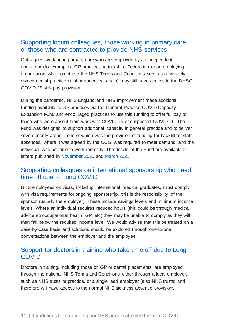#### Supporting locum colleagues, those working in primary care, or those who are contracted to provide NHS services

Colleagues working in primary care who are employed by an independent contractor (for example a GP practice, partnership, Federation or an employing organisation who do not use the NHS Terms and Conditions such as a privately owned dental practice or pharmaceutical chain) may still have access to the DHSC COVID-19 sick pay provision.

During the pandemic, NHS England and NHS Improvement made additional funding available to GP practices via the General Practice COVID Capacity Expansion Fund and encouraged practices to use this funding to offer full pay to those who were absent from work with COVID-19 or suspected COVID-19. The Fund was designed to support additional capacity in general practice and to deliver seven priority areas – one of which was the provision of funding for backfill for staff absences, where it was agreed by the CCG, was required to meet demand, and the individual was not able to work remotely. The details of the Fund are available in letters published in [November](https://www.england.nhs.uk/coronavirus/wp-content/uploads/sites/52/2020/03/C0828_GP-funding-letter-_second-wave_9novreb.pdf) 2020 and [March](https://www.england.nhs.uk/coronavirus/wp-content/uploads/sites/52/2021/03/C1216-SUPPORTING-GENERAL-PRACTICE-ADDITIONAL-120m-FUNDING-FOR-APRIL-SEPTEMBER-2021.pdf) 2021.

#### Supporting colleagues on international sponsorship who need time off due to Long COVID

NHS employees on visas, including international medical graduates, must comply with visa requirements for ongoing sponsorship, this is the responsibility of the sponsor (usually the employer). These include savings levels and minimum income levels. Where an individual requires reduced hours (this could be through medical advice eg occupational health, GP, etc) they may be unable to comply as they will then fall below the required income level. We would advise that this be treated on a case-by-case basis and solutions should be explored through one-to-one conversations between the employer and the employee.

#### Support for doctors in training who take time off due to Long **COVID**

Doctors in training, including those on GP or dental placements, are employed through the national NHS Terms and Conditions either through a local employer, such as NHS trusts or practice, or a single lead employer (also NHS trusts) and therefore will have access to the normal NHS sickness absence provisions.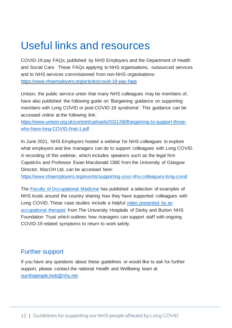## Useful links and resources

COVID-19 pay FAQs, published by NHS Employers and the Department of Health and Social Care. These FAQs applying to NHS organisations, outsourced services and to NHS services commissioned from non-NHS organisations: <https://www.nhsemployers.org/articles/covid-19-pay-faqs>

Unison, the public service union that many NHS colleagues may be members of, have also published the following guide on 'Bargaining guidance on supporting members with Long COVID or post-COVID-19 syndrome'. This guidance can be accessed online at the following link:

[https://www.unison.org.uk/content/uploads/2021/06/Bargaining-to-support-those](https://www.unison.org.uk/content/uploads/2021/06/Bargaining-to-support-those-who-have-long-COVID-final-1.pdf)[who-have-long-COVID-final-1.pdf](https://www.unison.org.uk/content/uploads/2021/06/Bargaining-to-support-those-who-have-long-COVID-final-1.pdf)

In June 2021, NHS Employers hosted a webinar for NHS colleagues to explore what employers and line managers can do to support colleagues with Long COVID. A recording of this webinar, which includes speakers such as the legal firm Capsticks and Professor Ewan Macdonald OBE from the University of Glasgow Director, MacOH Ltd, can be accessed here:

<https://www.nhsemployers.org/events/supporting-your-nhs-colleagues-long-covid>

The Faculty of [Occupational](https://www.fom.ac.uk/) Medicine has published a selection of examples of NHS trusts around the country sharing how they have supported colleagues with Long COVID. These case studies include a helpful video [presented](https://www.youtube.com/watch?v=bryRdjlzqRM&list=PLfPD5ilcfEbit6R2OgezYD9YeNvnniSyb&index=5) by an [occupational](https://www.youtube.com/watch?v=bryRdjlzqRM&list=PLfPD5ilcfEbit6R2OgezYD9YeNvnniSyb&index=5) therapist from The University Hospitals of Derby and Burton NHS Foundation Trust which outlines how managers can support staff with ongoing COVID-19 related symptoms to return to work safely.

#### Further support

If you have any questions about these guidelines or would like to ask for further support, please contact the national Health and Wellbeing team at [ournhspeople.hwb@nhs.net.](mailto:ournhspeople.hwb@nhs.net)